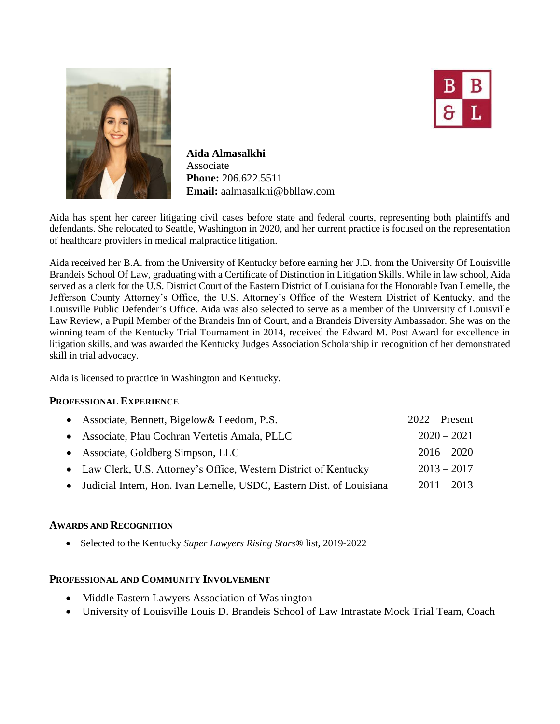

**Aida Almasalkhi** Associate **Phone:** 206.622.5511 **Email:** aalmasalkhi@bbllaw.com



Aida has spent her career litigating civil cases before state and federal courts, representing both plaintiffs and defendants. She relocated to Seattle, Washington in 2020, and her current practice is focused on the representation of healthcare providers in medical malpractice litigation.

Aida received her B.A. from the University of Kentucky before earning her J.D. from the University Of Louisville Brandeis School Of Law, graduating with a Certificate of Distinction in Litigation Skills. While in law school, Aida served as a clerk for the U.S. District Court of the Eastern District of Louisiana for the Honorable Ivan Lemelle, the Jefferson County Attorney's Office, the U.S. Attorney's Office of the Western District of Kentucky, and the Louisville Public Defender's Office. Aida was also selected to serve as a member of the University of Louisville Law Review, a Pupil Member of the Brandeis Inn of Court, and a Brandeis Diversity Ambassador. She was on the winning team of the Kentucky Trial Tournament in 2014, received the Edward M. Post Award for excellence in litigation skills, and was awarded the Kentucky Judges Association Scholarship in recognition of her demonstrated skill in trial advocacy.

Aida is licensed to practice in Washington and Kentucky.

## **PROFESSIONAL EXPERIENCE**

| • Associate, Bennett, Bigelow & Leedom, P.S.                           | $2022$ – Present |
|------------------------------------------------------------------------|------------------|
| • Associate, Pfau Cochran Vertetis Amala, PLLC                         | $2020 - 2021$    |
| • Associate, Goldberg Simpson, LLC                                     | $2016 - 2020$    |
| • Law Clerk, U.S. Attorney's Office, Western District of Kentucky      | $2013 - 2017$    |
| • Judicial Intern, Hon. Ivan Lemelle, USDC, Eastern Dist. of Louisiana | $2011 - 2013$    |

## **AWARDS AND RECOGNITION**

Selected to the Kentucky *Super Lawyers Rising Stars®* list, 2019-2022

## **PROFESSIONAL AND COMMUNITY INVOLVEMENT**

- Middle Eastern Lawyers Association of Washington
- University of Louisville Louis D. Brandeis School of Law Intrastate Mock Trial Team, Coach